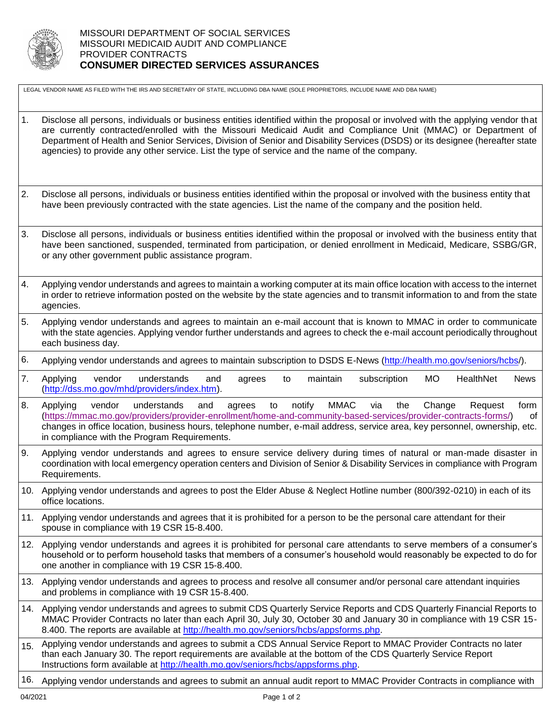

LEGAL VENDOR NAME AS FILED WITH THE IRS AND SECRETARY OF STATE, INCLUDING DBA NAME (SOLE PROPRIETORS, INCLUDE NAME AND DBA NAME)

- 1. Disclose all persons, individuals or business entities identified within the proposal or involved with the applying vendor that are currently contracted/enrolled with the Missouri Medicaid Audit and Compliance Unit (MMAC) or Department of Department of Health and Senior Services, Division of Senior and Disability Services (DSDS) or its designee (hereafter state agencies) to provide any other service. List the type of service and the name of the company.
- 2. Disclose all persons, individuals or business entities identified within the proposal or involved with the business entity that have been previously contracted with the state agencies. List the name of the company and the position held.
- 3. Disclose all persons, individuals or business entities identified within the proposal or involved with the business entity that have been sanctioned, suspended, terminated from participation, or denied enrollment in Medicaid, Medicare, SSBG/GR, or any other government public assistance program.
- 4. Applying vendor understands and agrees to maintain a working computer at its main office location with access to the internet in order to retrieve information posted on the website by the state agencies and to transmit information to and from the state agencies.
- 5. Applying vendor understands and agrees to maintain an e-mail account that is known to MMAC in order to communicate with the state agencies. Applying vendor further understands and agrees to check the e-mail account periodically throughout each business day.
- 6. Applying vendor understands and agrees to maintain subscription to DSDS E-News [\(http://health.mo.gov/seniors/hcbs/\)](http://health.mo.gov/seniors/hcbs/).
- 7. Applying vendor understands and agrees to maintain subscription MO HealthNet News [\(http://dss.mo.gov/mhd/providers/index.htm\)](http://dss.mo.gov/mhd/providers/index.htm).
- 8. Applying vendor understands and agrees to notify MMAC via the Change Request form [\(https://mmac.mo.gov/providers/provider-enrollment/home-and-community-based-services/provider-contracts-forms/\)](https://mmac.mo.gov/providers/provider-enrollment/home-and-community-based-services/provider-contracts-forms/) of changes in office location, business hours, telephone number, e-mail address, service area, key personnel, ownership, etc. in compliance with the Program Requirements.
- 9. Applying vendor understands and agrees to ensure service delivery during times of natural or man-made disaster in coordination with local emergency operation centers and Division of Senior & Disability Services in compliance with Program Requirements.
- 10. Applying vendor understands and agrees to post the Elder Abuse & Neglect Hotline number (800/392-0210) in each of its office locations.
- 11. Applying vendor understands and agrees that it is prohibited for a person to be the personal care attendant for their spouse in compliance with 19 CSR 15-8.400.
- 12. Applying vendor understands and agrees it is prohibited for personal care attendants to serve members of a consumer's household or to perform household tasks that members of a consumer's household would reasonably be expected to do for one another in compliance with 19 CSR 15-8.400.
- 13. Applying vendor understands and agrees to process and resolve all consumer and/or personal care attendant inquiries and problems in compliance with 19 CSR 15-8.400.
- 14. Applying vendor understands and agrees to submit CDS Quarterly Service Reports and CDS Quarterly Financial Reports to MMAC Provider Contracts no later than each April 30, July 30, October 30 and January 30 in compliance with 19 CSR 15- 8.400. The reports are available at [http://health.mo.gov/seniors/hcbs/appsforms.php.](http://health.mo.gov/seniors/hcbs/appsforms.php)
- 15. Applying vendor understands and agrees to submit a CDS Annual Service Report to MMAC Provider Contracts no later than each January 30. The report requirements are available at the bottom of the CDS Quarterly Service Report Instructions form available at [http://health.mo.gov/seniors/hcbs/appsforms.php.](http://health.mo.gov/seniors/hcbs/appsforms.php)
- 16. Applying vendor understands and agrees to submit an annual audit report to MMAC Provider Contracts in compliance with